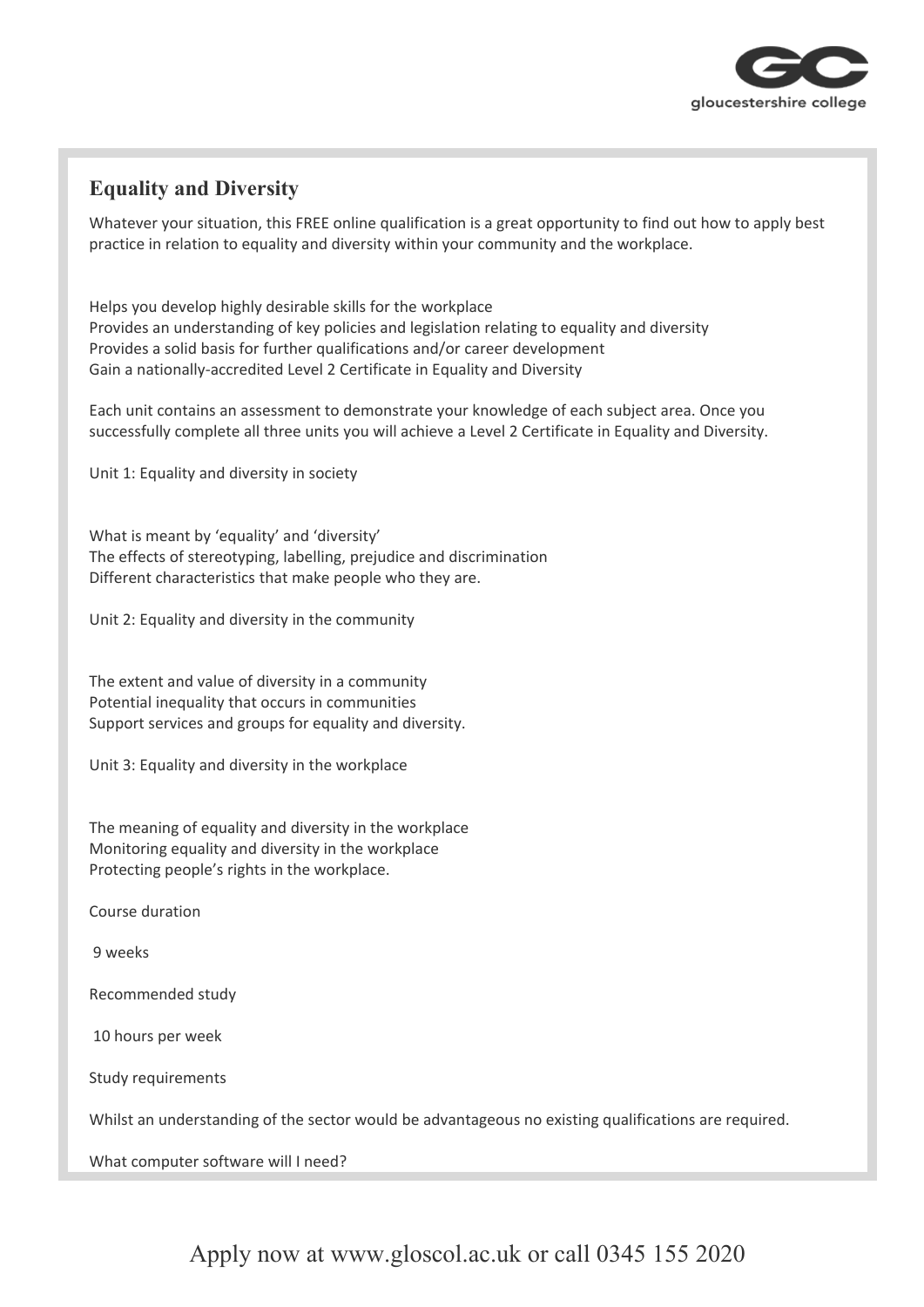

## **Equality and Diversity**

Whatever your situation, this FREE online qualification is a great opportunity to find out how to apply best practice in relation to equality and diversity within your community and the workplace.

Helps you develop highly desirable skills for the workplace Provides an understanding of key policies and legislation relating to equality and diversity Provides a solid basis for further qualifications and/or career development Gain a nationally-accredited Level 2 Certificate in Equality and Diversity

Each unit contains an assessment to demonstrate your knowledge of each subject area. Once you successfully complete all three units you will achieve a Level 2 Certificate in Equality and Diversity.

Unit 1: Equality and diversity in society

What is meant by 'equality' and 'diversity' The effects of stereotyping, labelling, prejudice and discrimination Different characteristics that make people who they are.

Unit 2: Equality and diversity in the community

The extent and value of diversity in a community Potential inequality that occurs in communities Support services and groups for equality and diversity.

Unit 3: Equality and diversity in the workplace

The meaning of equality and diversity in the workplace Monitoring equality and diversity in the workplace Protecting people's rights in the workplace.

Course duration

9 weeks

Recommended study

10 hours per week

Study requirements

Whilst an understanding of the sector would be advantageous no existing qualifications are required.

What computer software will I need?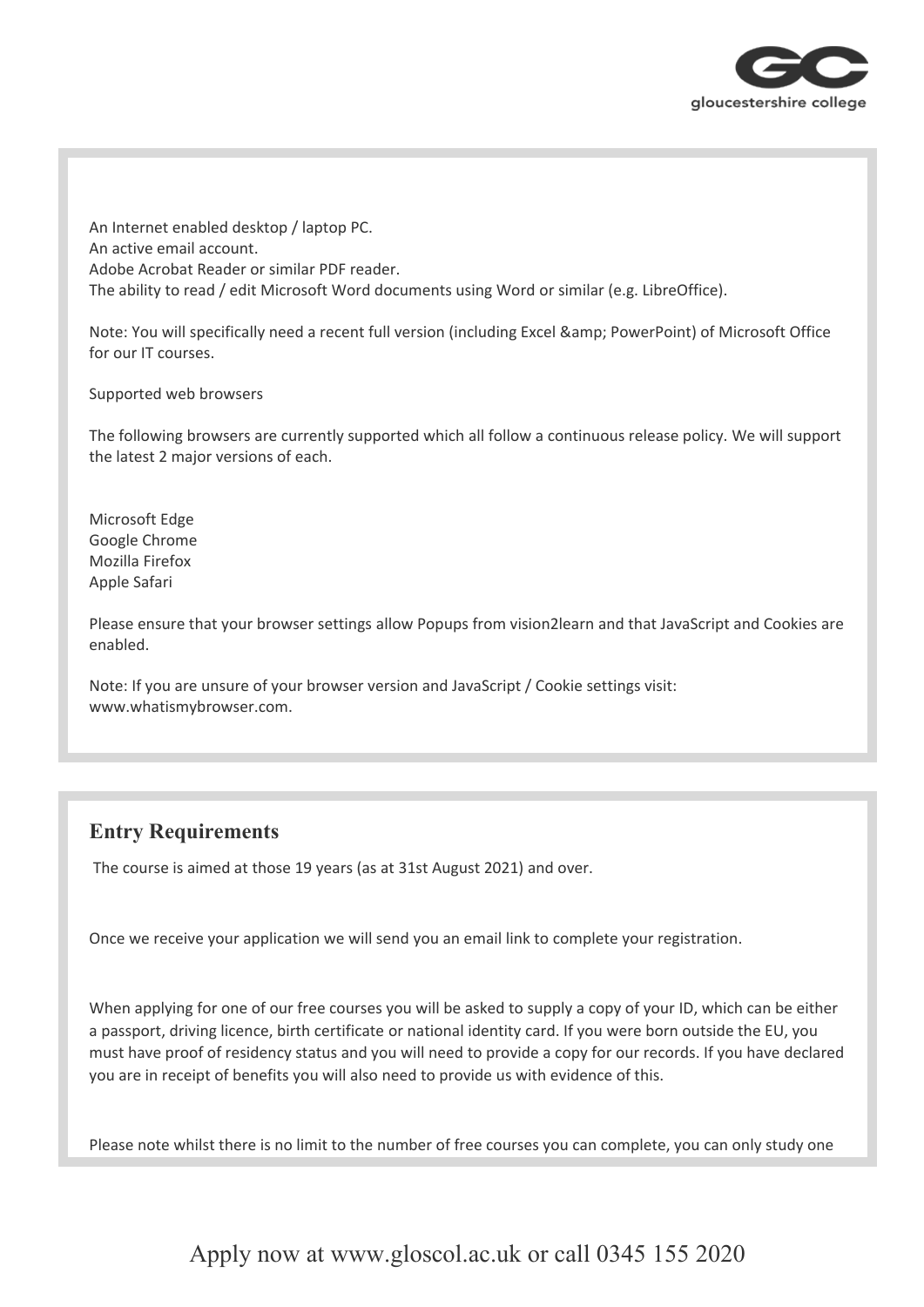

An Internet enabled desktop / laptop PC. An active email account. Adobe Acrobat Reader or similar PDF reader. The ability to read / edit Microsoft Word documents using Word or similar (e.g. LibreOffice).

Note: You will specifically need a recent full version (including Excel & amp; PowerPoint) of Microsoft Office for our IT courses.

Supported web browsers

The following browsers are currently supported which all follow a continuous release policy. We will support the latest 2 major versions of each.

Microsoft Edge Google Chrome Mozilla Firefox Apple Safari

Please ensure that your browser settings allow Popups from vision2learn and that JavaScript and Cookies are enabled.

Note: If you are unsure of your browser version and JavaScript / Cookie settings visit: www.whatismybrowser.com.

## **Entry Requirements**

The course is aimed at those 19 years (as at 31st August 2021) and over.

Once we receive your application we will send you an email link to complete your registration.

When applying for one of our free courses you will be asked to supply a copy of your ID, which can be either a passport, driving licence, birth certificate or national identity card. If you were born outside the EU, you must have proof of residency status and you will need to provide a copy for our records. If you have declared you are in receipt of benefits you will also need to provide us with evidence of this.

Please note whilst there is no limit to the number of free courses you can complete, you can only study one